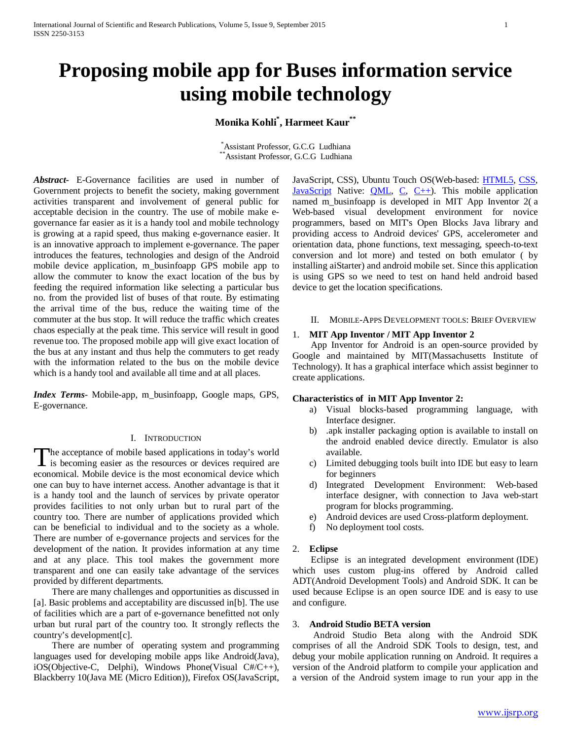# **Proposing mobile app for Buses information service using mobile technology**

## **Monika Kohli\* , Harmeet Kaur\*\***

\* Assistant Professor, G.C.G Ludhiana \*Assistant Professor, G.C.G Ludhiana

*Abstract***-** E-Governance facilities are used in number of Government projects to benefit the society, making government activities transparent and involvement of general public for acceptable decision in the country. The use of mobile make egovernance far easier as it is a handy tool and mobile technology is growing at a rapid speed, thus making e-governance easier. It is an innovative approach to implement e-governance. The paper introduces the features, technologies and design of the Android mobile device application, m\_businfoapp GPS mobile app to allow the commuter to know the exact location of the bus by feeding the required information like selecting a particular bus no. from the provided list of buses of that route. By estimating the arrival time of the bus, reduce the waiting time of the commuter at the bus stop. It will reduce the traffic which creates chaos especially at the peak time. This service will result in good revenue too. The proposed mobile app will give exact location of the bus at any instant and thus help the commuters to get ready with the information related to the bus on the mobile device which is a handy tool and available all time and at all places.

*Index Terms*- Mobile-app, m\_businfoapp, Google maps, GPS, E-governance.

## I. INTRODUCTION

he acceptance of mobile based applications in today's world The acceptance of mobile based applications in today's world<br>is becoming easier as the resources or devices required are economical. Mobile device is the most economical device which one can buy to have internet access. Another advantage is that it is a handy tool and the launch of services by private operator provides facilities to not only urban but to rural part of the country too. There are number of applications provided which can be beneficial to individual and to the society as a whole. There are number of e-governance projects and services for the development of the nation. It provides information at any time and at any place. This tool makes the government more transparent and one can easily take advantage of the services provided by different departments.

 There are many challenges and opportunities as discussed in [a]. Basic problems and acceptability are discussed in[b]. The use of facilities which are a part of e-governance benefitted not only urban but rural part of the country too. It strongly reflects the country's development[c].

 There are number of operating system and programming languages used for developing mobile apps like Android(Java), iOS(Objective-C, Delphi), Windows Phone(Visual C#/C++), Blackberry 10(Java ME (Micro Edition)), Firefox OS(JavaScript,

JavaScript, CSS), Ubuntu Touch OS(Web-based: [HTML5,](http://en.wikipedia.org/wiki/HTML5) [CSS,](http://en.wikipedia.org/wiki/CSS) [JavaScript](http://en.wikipedia.org/wiki/JavaScript) Native: [QML,](http://en.wikipedia.org/wiki/QML) [C,](http://en.wikipedia.org/wiki/C_(programming_language)) [C++\)](http://en.wikipedia.org/wiki/C%2B%2B). This mobile application named m businfoapp is developed in MIT App Inventor 2(a Web-based visual development environment for novice programmers, based on MIT's Open Blocks Java library and providing access to Android devices' GPS, accelerometer and orientation data, phone functions, text messaging, speech-to-text conversion and lot more) and tested on both emulator ( by installing aiStarter) and android mobile set. Since this application is using GPS so we need to test on hand held android based device to get the location specifications.

#### II. MOBILE-APPS DEVELOPMENT TOOLS: BRIEF OVERVIEW

#### 1. **MIT App Inventor / MIT App Inventor 2**

 App Inventor for Android is an open-source provided by Google and maintained by MIT(Massachusetts Institute of Technology). It has a graphical interface which assist beginner to create applications.

## **Characteristics of in MIT App Inventor 2:**

- a) Visual blocks-based programming language, with Interface designer.
- b) .apk installer packaging option is available to install on the android enabled device directly. Emulator is also available.
- c) Limited debugging tools built into IDE but easy to learn for beginners
- d) Integrated Development Environment: Web-based interface designer, with connection to Java web-start program for blocks programming.
- e) Android devices are used Cross-platform deployment.
- f) No deployment tool costs.

#### 2. **Eclipse**

 Eclipse is an integrated development environment (IDE) which uses custom plug-ins offered by Android called ADT(Android Development Tools) and Android SDK. It can be used because Eclipse is an open source IDE and is easy to use and configure.

## 3. **Android Studio BETA version**

 Android Studio Beta along with the Android SDK comprises of all the Android SDK Tools to design, test, and debug your mobile application running on Android. It requires a version of the Android platform to compile your application and a version of the Android system image to run your app in the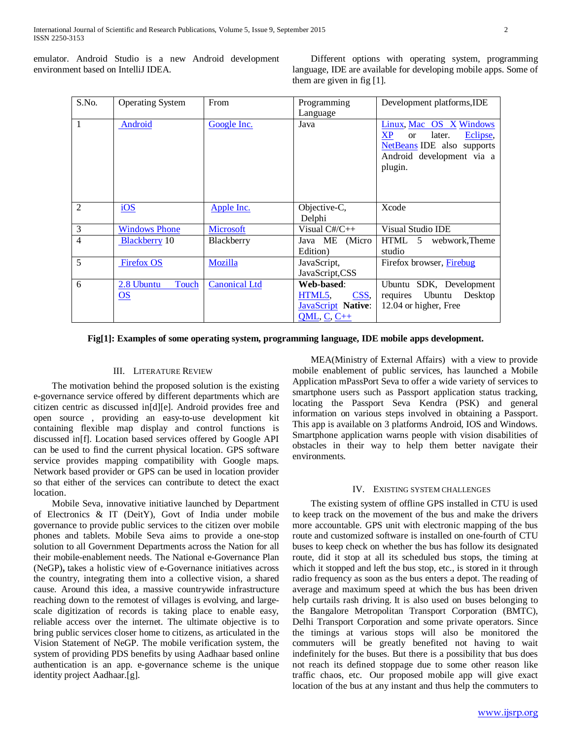emulator. Android Studio is a new Android development environment based on IntelliJ IDEA.

 Different options with operating system, programming language, IDE are available for developing mobile apps. Some of them are given in fig [1].

| S.No.          | <b>Operating System</b>         | From                 | Programming<br>Language                                                          | Development platforms, IDE                                                                                                                        |
|----------------|---------------------------------|----------------------|----------------------------------------------------------------------------------|---------------------------------------------------------------------------------------------------------------------------------------------------|
| $\overline{1}$ | Android                         | Google Inc.          | Java                                                                             | Linux, Mac OS X Windows<br><b>XP</b><br>later.<br>Eclipse,<br><sub>or</sub><br>NetBeans IDE also supports<br>Android development via a<br>plugin. |
| 2              | iOS                             | Apple Inc.           | Objective-C,<br>Delphi                                                           | Xcode                                                                                                                                             |
| $\overline{3}$ | <b>Windows Phone</b>            | Microsoft            | Visual $C\#/C++$                                                                 | <b>Visual Studio IDE</b>                                                                                                                          |
| $\overline{4}$ | <b>Blackberry</b> 10            | Blackberry           | Java ME (Micro<br>Edition)                                                       | HTML 5 webwork, Theme<br>studio                                                                                                                   |
| $\overline{5}$ | <b>Firefox OS</b>               | Mozilla              | JavaScript,<br>JavaScript,CSS                                                    | Firefox browser, Firebug                                                                                                                          |
| $\overline{6}$ | Touch<br>2.8 Ubuntu<br>$\Omega$ | <b>Canonical Ltd</b> | Web-based:<br>HTML5,<br>CSS,<br><b>JavaScript</b> Native:<br>$QML$ , $C$ , $C++$ | Ubuntu SDK, Development<br>requires Ubuntu<br>Desktop<br>12.04 or higher, Free                                                                    |

**Fig[1]: Examples of some operating system, programming language, IDE mobile apps development.**

## III. LITERATURE REVIEW

 The motivation behind the proposed solution is the existing e-governance service offered by different departments which are citizen centric as discussed in[d][e]. Android provides free and open source , providing an easy-to-use development kit containing flexible map display and control functions is discussed in[f]. Location based services offered by Google API can be used to find the current physical location. GPS software service provides mapping compatibility with Google maps. Network based provider or GPS can be used in location provider so that either of the services can contribute to detect the exact location.

 Mobile Seva, innovative initiative launched by Department of Electronics & IT (DeitY), Govt of India under mobile governance to provide public services to the citizen over mobile phones and tablets. Mobile Seva aims to provide a one-stop solution to all Government Departments across the Nation for all their mobile-enablement needs. The National e-Governance Plan (NeGP)**,** takes a holistic view of e-Governance initiatives across the country, integrating them into a collective vision, a shared cause. Around this idea, a massive countrywide infrastructure reaching down to the remotest of villages is evolving, and largescale digitization of records is taking place to enable easy, reliable access over the internet. The ultimate objective is to bring public services closer home to citizens, as articulated in the Vision Statement of NeGP. The mobile verification system, the system of providing PDS benefits by using Aadhaar based online authentication is an app. e-governance scheme is the unique identity project Aadhaar.[g].

 MEA(Ministry of External Affairs) with a view to provide mobile enablement of public services, has launched a Mobile Application mPassPort Seva to offer a wide variety of services to smartphone users such as Passport application status tracking, locating the Passport Seva Kendra (PSK) and general information on various steps involved in obtaining a Passport. This app is available on 3 platforms Android, IOS and Windows. Smartphone application warns people with vision disabilities of obstacles in their way to help them better navigate their environments.

## IV. EXISTING SYSTEM CHALLENGES

 The existing system of offline GPS installed in CTU is used to keep track on the movement of the bus and make the drivers more accountable. GPS unit with electronic mapping of the bus route and customized software is installed on one-fourth of CTU buses to keep check on whether the bus has follow its designated route, did it stop at all its scheduled bus stops, the timing at which it stopped and left the bus stop, etc., is stored in it through radio frequency as soon as the bus enters a depot. The reading of average and maximum speed at which the bus has been driven help curtails rash driving. It is also used on buses belonging to the Bangalore Metropolitan Transport Corporation (BMTC), Delhi Transport Corporation and some private operators. Since the timings at various stops will also be monitored the commuters will be greatly benefited not having to wait indefinitely for the buses. But there is a possibility that bus does not reach its defined stoppage due to some other reason like traffic chaos, etc. Our proposed mobile app will give exact location of the bus at any instant and thus help the commuters to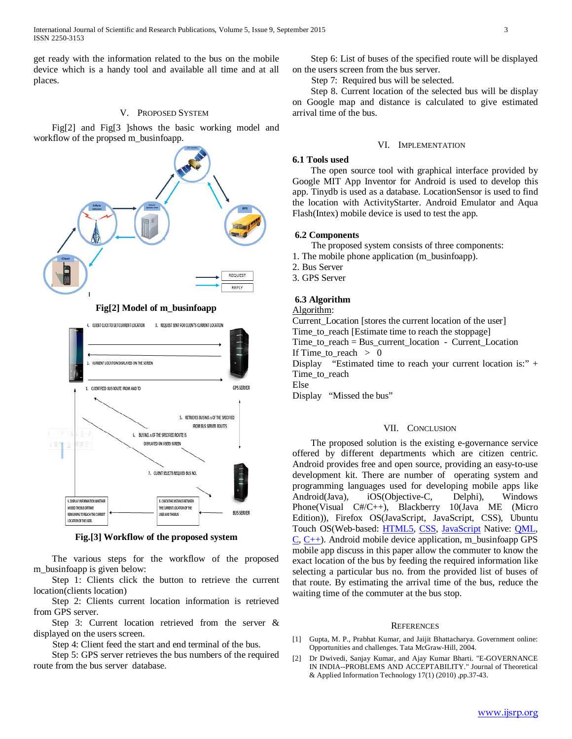get ready with the information related to the bus on the mobile device which is a handy tool and available all time and at all places.

## V. PROPOSED SYSTEM

 Fig[2] and Fig[3 ]shows the basic working model and workflow of the propsed m\_businfoapp.



**Fig[2] Model of m\_businfoapp**



**Fig.[3] Workflow of the proposed system**

 The various steps for the workflow of the proposed m\_businfoapp is given below:

 Step 1: Clients click the button to retrieve the current location(clients location)

 Step 2: Clients current location information is retrieved from GPS server.

 Step 3: Current location retrieved from the server & displayed on the users screen.

Step 4: Client feed the start and end terminal of the bus.

 Step 5: GPS server retrieves the bus numbers of the required route from the bus server database.

 Step 6: List of buses of the specified route will be displayed on the users screen from the bus server.

Step 7: Required bus will be selected.

 Step 8. Current location of the selected bus will be display on Google map and distance is calculated to give estimated arrival time of the bus.

#### VI. IMPLEMENTATION

### **6.1 Tools used**

 The open source tool with graphical interface provided by Google MIT App Inventor for Android is used to develop this app. Tinydb is used as a database. LocationSensor is used to find the location with ActivityStarter. Android Emulator and Aqua Flash(Intex) mobile device is used to test the app.

#### **6.2 Components**

- The proposed system consists of three components:
- 1. The mobile phone application (m\_businfoapp).
- 2. Bus Server
- 3. GPS Server

## **6.3 Algorithm**

#### Algorithm:

Current\_Location [stores the current location of the user] Time\_to\_reach [Estimate time to reach the stoppage] Time to reach  $=$  Bus current location - Current Location If Time\_to\_reach  $> 0$ Display "Estimated time to reach your current location is:" + Time to reach Else Display "Missed the bus"

#### VII. CONCLUSION

 The proposed solution is the existing e-governance service offered by different departments which are citizen centric. Android provides free and open source, providing an easy-to-use development kit. There are number of operating system and programming languages used for developing mobile apps like Android(Java), iOS(Objective-C, Delphi), Windows Phone(Visual C#/C++), Blackberry 10(Java ME (Micro Edition)), Firefox OS(JavaScript, JavaScript, CSS), Ubuntu Touch OS(Web-based: [HTML5,](http://en.wikipedia.org/wiki/HTML5) [CSS,](http://en.wikipedia.org/wiki/CSS) [JavaScript](http://en.wikipedia.org/wiki/JavaScript) Native: [QML,](http://en.wikipedia.org/wiki/QML)  $C, C++)$  $C, C++)$ . Android mobile device application, m\_businfoapp GPS mobile app discuss in this paper allow the commuter to know the exact location of the bus by feeding the required information like selecting a particular bus no. from the provided list of buses of that route. By estimating the arrival time of the bus, reduce the waiting time of the commuter at the bus stop.

#### **REFERENCES**

- [1] Gupta, M. P., Prabhat Kumar, and Jaijit Bhattacharya. Government online: Opportunities and challenges. Tata McGraw-Hill, 2004.
- [2] Dr Dwivedi, Sanjay Kumar, and Ajay Kumar Bharti. "E-GOVERNANCE IN INDIA--PROBLEMS AND ACCEPTABILITY." Journal of Theoretical & Applied Information Technology 17(1) (2010) ,pp.37-43.